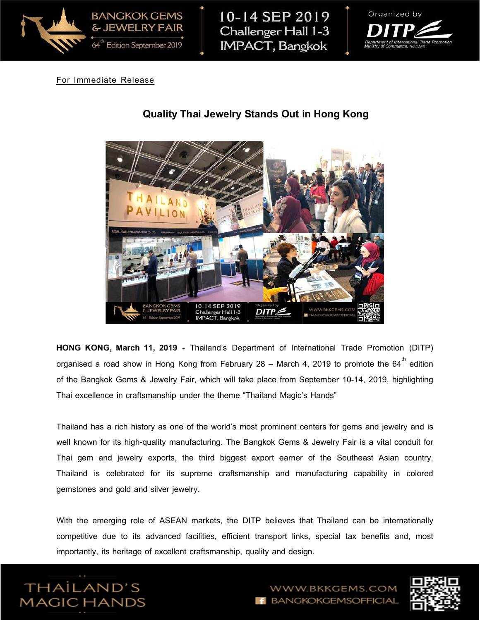

10-14 SEP 2019 Challenger Hall 1-3 **IMPACT, Bangkok** 



## For Immediate Release



# **Quality Thai Jewelry Stands Out in Hong Kong**

**HONG KONG, March 11, 2019** - Thailand's Department of International Trade Promotion (DITP) organised a road show in Hong Kong from February 28 – March 4, 2019 to promote the 64 $^{\rm th}$  edition of the Bangkok Gems & Jewelry Fair, which will take place from September 10-14, 2019, highlighting Thai excellence in craftsmanship under the theme "Thailand Magic's Hands"

Thailand has a rich history as one of the world's most prominent centers for gems and jewelry and is well known for its high-quality manufacturing. The Bangkok Gems & Jewelry Fair is a vital conduit for Thai gem and jewelry exports, the third biggest export earner of the Southeast Asian country. Thailand is celebrated for its supreme craftsmanship and manufacturing capability in colored gemstones and gold and silver jewelry.

With the emerging role of ASEAN markets, the DITP believes that Thailand can be internationally competitive due to its advanced facilities, efficient transport links, special tax benefits and, most importantly, its heritage of excellent craftsmanship, quality and design.





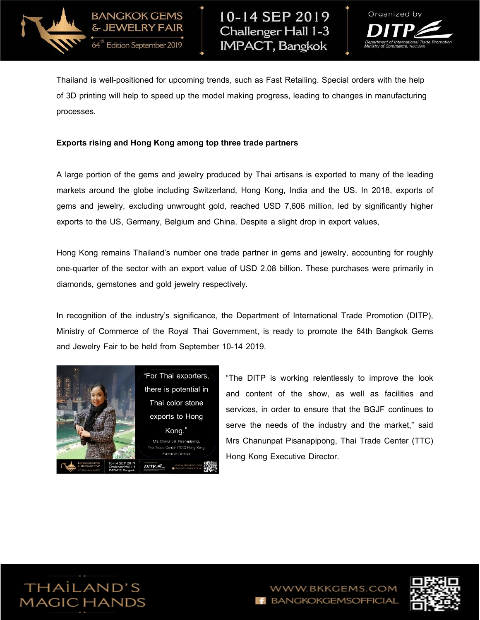



Thailand is well-positioned for upcoming trends, such as Fast Retailing. Special orders with the help of 3D printing will help to speed up the model making progress, leading to changes in manufacturing processes.

#### **Exports risingand Hong Kong among top three trade partners**

**BANGKOK GEMS** & JEWELRY FAIR

64" Edition September 2019

A large portion of the gems and jewelry produced by Thai artisans is exported to many of the leading markets around the globe including Switzerland, Hong Kong, India and the US. In 2018, exports of gems and jewelry, excluding unwrought gold, reached USD 7,606 million, led by significantly higher exports to the US, Germany, Belgium and China. Despite a slight drop in export values,

Hong Kong remains Thailand's number one trade partner in gems and jewelry, accounting for roughly one-quarter of the sector with an export value of USD 2.08 billion. These purchases were primarily in diamonds, gemstones and gold jewelry respectively.

In recognition of the industry's significance, the Department of International Trade Promotion (DITP), Ministry of Commerce of the Royal Thai Government, is ready to promote the 64th Bangkok Gems and Jewelry Fair to be held from September 10-14 2019.



"The DITP is working relentlessly to improve the look and content of the show, as well as facilities and services, in order to ensure that the BGJF continues to serve the needs of the industry and the market," said Mrs Chanunpat Pisanapipong, Thai Trade Center (TTC) Hong Kong Executive Director.



BKKGEMS.COM **BANGKOKGEMSOFFICIAL** 

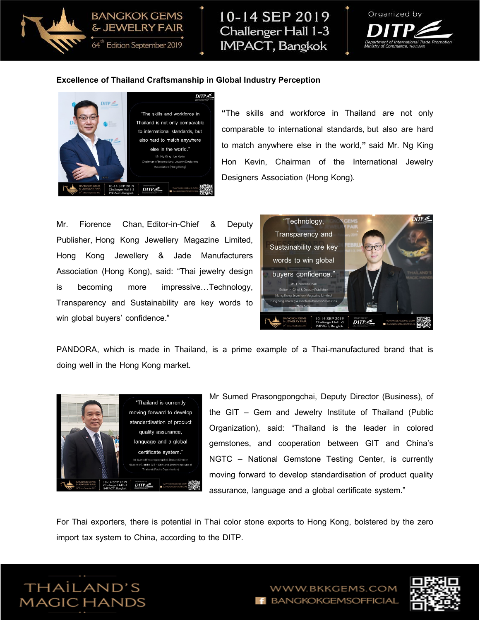

10-14 SEP 2019 Challenger Hall 1-3 **IMPACT, Bangkok** 



#### **Excellence of Thailand Craftsmanship in Global Industry Perception**



& JEWELRY FAIR

**"**The skills and workforce in Thailand are not only comparable to international standards, but also are hard to match anywhere else in the world,**"** said Mr. Ng King Hon Kevin, Chairman of the International Jewelry Designers Association (Hong Kong).

Mr. Fiorence Chan, Editor-in-Chief & Deputy Publisher, Hong Kong Jewellery Magazine Limited, Hong Kong Jewellery & Jade Manufacturers Association (Hong Kong), said: "Thai jewelry design is becoming more impressive…Technology, Transparency and Sustainability are key words to win global buyers' confidence."



PANDORA, which is made in Thailand, is a prime example of a Thai-manufactured brand that is doing well in the Hong Kong market.



Mr Sumed Prasongpongchai, Deputy Director (Business), of the GIT – Gem and Jewelry Institute of Thailand (Public Organization), said: "Thailand is the leader in colored gemstones, and cooperation between GIT and China's NGTC – National Gemstone Testing Center, is currently moving forward to develop standardisation of product quality assurance, language and a global certificate system."

For Thai exporters, there is potential in Thai color stone exports to Hong Kong, bolstered by the zero import tax system to China, according to the DITP.



WWW.BKKGEMS.COM **BANGKOKGEMSOFFICIAL** 

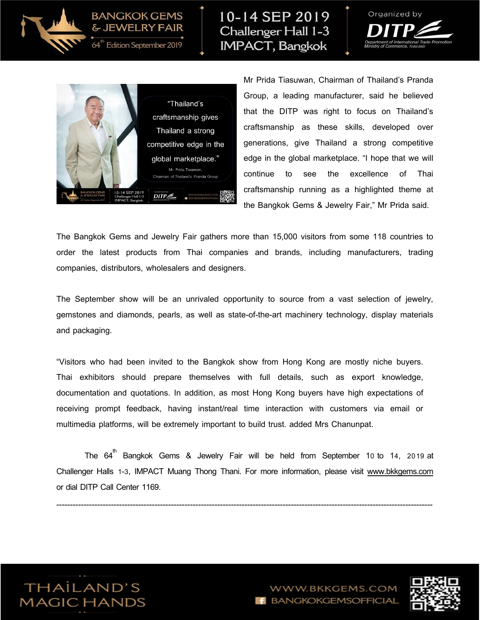

# **BANGKOK GEMS** & JEWELRY FAIR

64" Edition September 2019

# 10-14 SEP 2019 Challenger Hall 1-3 **IMPACT, Bangkok**





Mr Prida Tiasuwan, Chairman of Thailand's Pranda Group, a leading manufacturer, said he believed that the DITP was right to focus on Thailand's craftsmanship as these skills, developed over generations, give Thailand a strong competitive edge in the global marketplace. "I hope that we will continue to see the excellence of Thai craftsmanship running as a highlighted theme at the Bangkok Gems & Jewelry Fair," Mr Prida said.

The Bangkok Gems and Jewelry Fair gathers more than 15,000 visitors from some 118 countries to order the latest products from Thai companies and brands, including manufacturers, trading companies, distributors, wholesalers and designers.

The September show will be an unrivaled opportunity to source from a vast selection of jewelry, gemstones and diamonds, pearls, as well as state-of-the-art machinery technology, display materials and packaging.

"Visitors who had been invited to the Bangkok show from Hong Kong are mostly niche buyers. Thai exhibitors should prepare themselves with full details, such as export knowledge, documentation and quotations. In addition, as most Hong Kong buyers have high expectations of receiving prompt feedback, having instant/real time interaction with customers via email or multimedia platforms, will be extremely important to build trust. added Mrs Chanunpat.

The  $64^{\text{th}}$  Bangkok Gems & Jewelry Fair will be held from September 10 to 14, 2019 $\,$  at Challenger Halls 1-3, IMPACT Muang Thong Thani. For more information, please visit [www.bkkgems.com](http://www.bkkgems.com/) or dial DITP Call Center 1169.

------------------------------------------------------------------------------------------------------------------------------------------



W.BKKGEMS.COM **BANGKOKGEMSOFFICIAL**